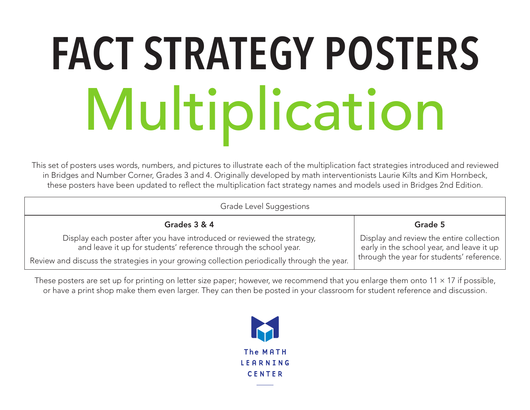#### **FACT STRATEGY POSTERS** Multiplication

This set of posters uses words, numbers, and pictures to illustrate each of the multiplication fact strategies introduced and reviewed in Bridges and Number Corner, Grades 3 and 4. Originally developed by math interventionists Laurie Kilts and Kim Hornbeck, these posters have been updated to reflect the multiplication fact strategy names and models used in Bridges 2nd Edition.

| Grade Level Suggestions                                                                                                                                                                                                                    |                                                                                                                                    |
|--------------------------------------------------------------------------------------------------------------------------------------------------------------------------------------------------------------------------------------------|------------------------------------------------------------------------------------------------------------------------------------|
| Grades 3 & 4                                                                                                                                                                                                                               | Grade 5                                                                                                                            |
| Display each poster after you have introduced or reviewed the strategy,<br>and leave it up for students' reference through the school year.<br>Review and discuss the strategies in your growing collection periodically through the year. | Display and review the entire collection<br>early in the school year, and leave it up<br>through the year for students' reference. |
|                                                                                                                                                                                                                                            |                                                                                                                                    |

These posters are set up for printing on letter size paper; however, we recommend that you enlarge them onto  $11 \times 17$  if possible, or have a print shop make them even larger. They can then be posted in your classroom for student reference and discussion.

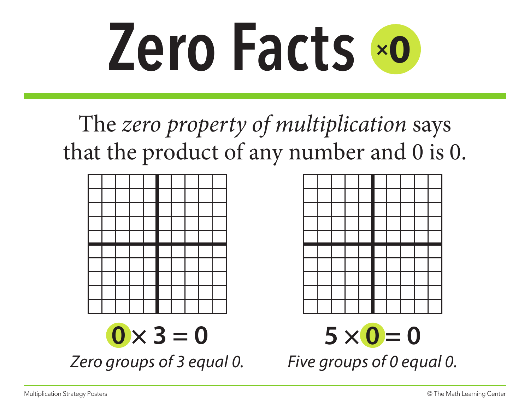

The *zero property of multiplication* says that the product of any number and 0 is 0.





*Zero groups of 3 equal 0. Five groups of 0 equal 0.*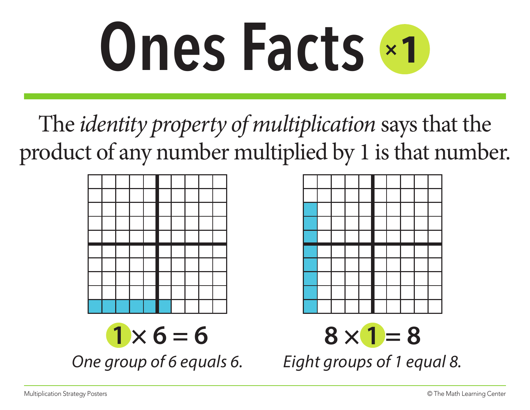

The *identity property of multiplication* says that the product of any number multiplied by 1 is that number.





 $8 \times 1 = 8$ 

*One group of 6 equals 6. Eight groups of 1 equal 8.*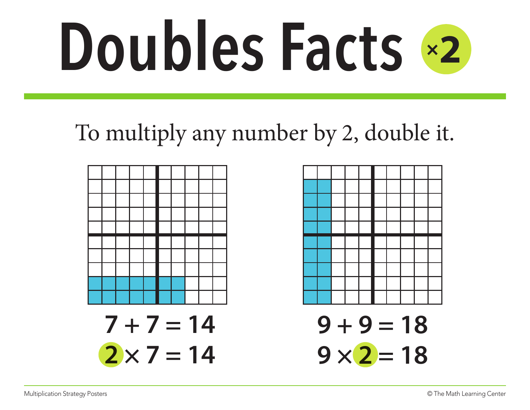## **Doubles Facts** <sup>×</sup>**<sup>2</sup>**

#### To multiply any number by 2, double it.



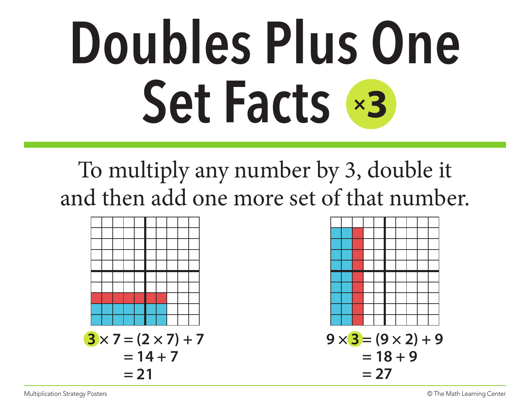### **Doubles Plus One Set Facts** ×**<sup>3</sup>**

#### To multiply any number by 3, double it and then add one more set of that number.



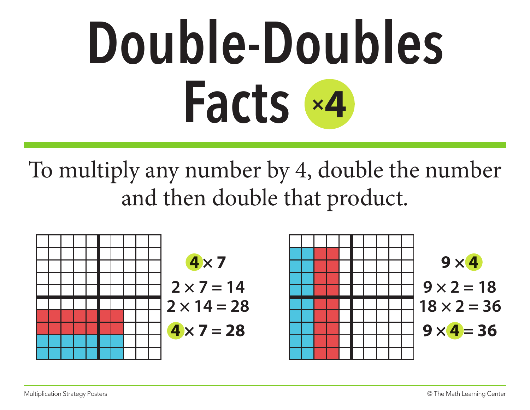#### **Double-Doubles Facts** ×**<sup>4</sup>**

To multiply any number by 4, double the number and then double that product.

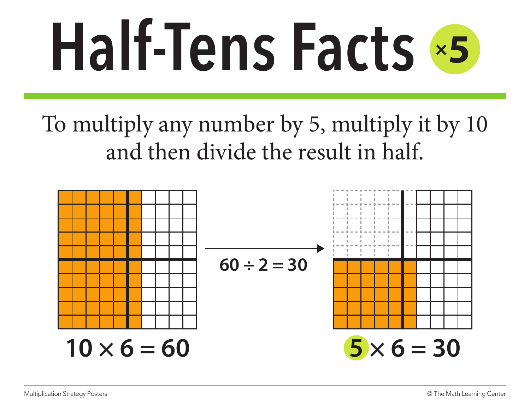# **Half-Tens Facts** <sup>×</sup>**<sup>5</sup>**

To multiply any number by 5, multiply it by 10 and then divide the result in half.

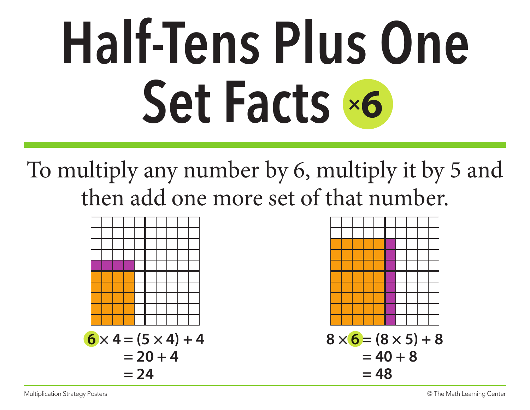### **Half-Tens Plus One Set Facts** ×**<sup>6</sup>**

To multiply any number by 6, multiply it by 5 and then add one more set of that number.



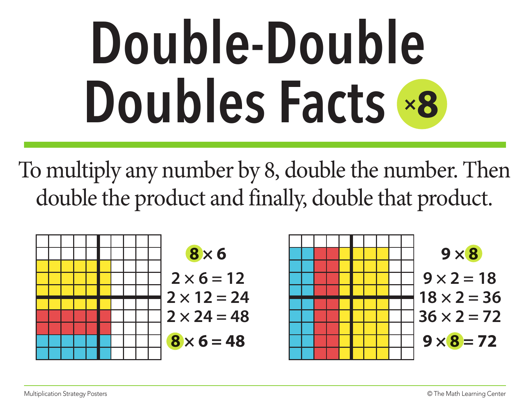#### **Double-Double Doubles Facts** ×**<sup>8</sup>**

To multiply any number by 8, double the number. Then double the product and finally, double that product.

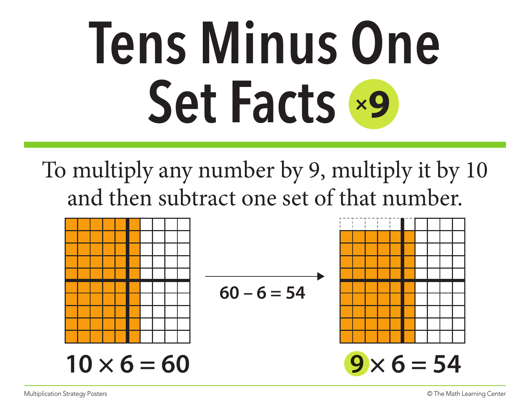#### **Tens Minus One Set Facts** ×**<sup>9</sup>**

To multiply any number by 9, multiply it by 10 and then subtract one set of that number.